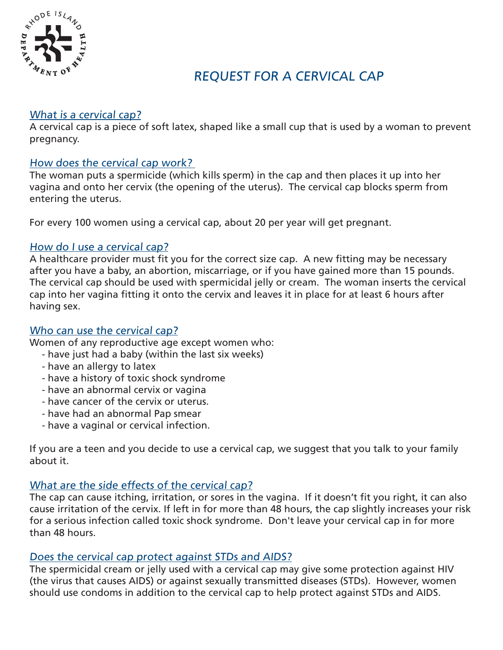

# REQUEST FOR A CERVICAL CAP

## What is a cervical cap?

A cervical cap is a piece of soft latex, shaped like a small cup that is used by a woman to prevent pregnancy.

#### How does the cervical cap work?

The woman puts a spermicide (which kills sperm) in the cap and then places it up into her vagina and onto her cervix (the opening of the uterus). The cervical cap blocks sperm from entering the uterus.

For every 100 women using a cervical cap, about 20 per year will get pregnant.

#### How do I use a cervical cap?

A healthcare provider must fit you for the correct size cap. A new fitting may be necessary after you have a baby, an abortion, miscarriage, or if you have gained more than 15 pounds. The cervical cap should be used with spermicidal jelly or cream. The woman inserts the cervical cap into her vagina fitting it onto the cervix and leaves it in place for at least 6 hours after having sex.

### Who can use the cervical cap?

Women of any reproductive age except women who:

- have just had a baby (within the last six weeks)
- have an allergy to latex
- have a history of toxic shock syndrome
- have an abnormal cervix or vagina
- have cancer of the cervix or uterus.
- have had an abnormal Pap smear
- have a vaginal or cervical infection.

If you are a teen and you decide to use a cervical cap, we suggest that you talk to your family about it.

# What are the side effects of the cervical cap?

The cap can cause itching, irritation, or sores in the vagina. If it doesn't fit you right, it can also cause irritation of the cervix. If left in for more than 48 hours, the cap slightly increases your risk for a serious infection called toxic shock syndrome. Don't leave your cervical cap in for more than 48 hours.

# Does the cervical cap protect against STDs and AIDS?

The spermicidal cream or jelly used with a cervical cap may give some protection against HIV (the virus that causes AIDS) or against sexually transmitted diseases (STDs). However, women should use condoms in addition to the cervical cap to help protect against STDs and AIDS.